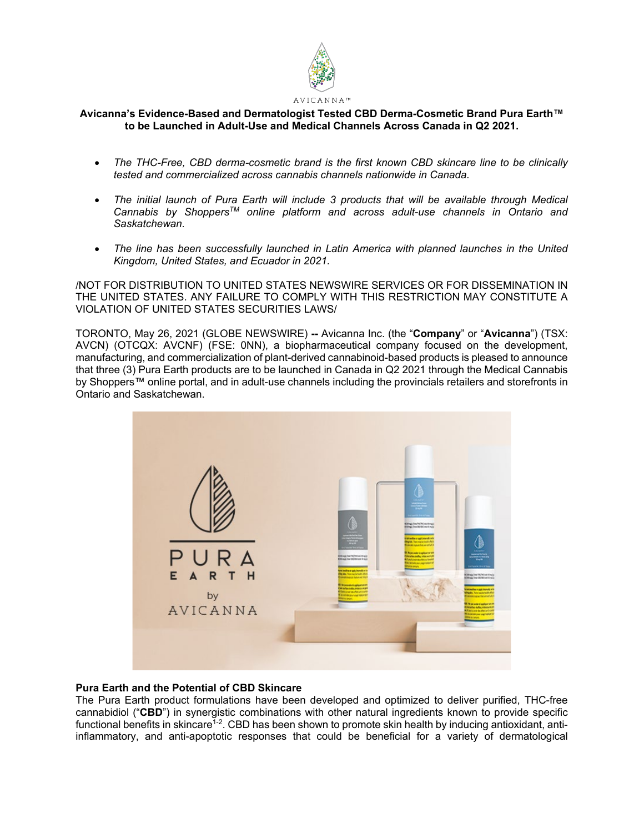

# **Avicanna's Evidence-Based and Dermatologist Tested CBD Derma-Cosmetic Brand Pura Earth™ to be Launched in Adult-Use and Medical Channels Across Canada in Q2 2021.**

- *The THC-Free, CBD derma-cosmetic brand is the first known CBD skincare line to be clinically tested and commercialized across cannabis channels nationwide in Canada.*
- *The initial launch of Pura Earth will include 3 products that will be available through Medical Cannabis by ShoppersTM online platform and across adult-use channels in Ontario and Saskatchewan.*
- *The line has been successfully launched in Latin America with planned launches in the United Kingdom, United States, and Ecuador in 2021.*

/NOT FOR DISTRIBUTION TO UNITED STATES NEWSWIRE SERVICES OR FOR DISSEMINATION IN THE UNITED STATES. ANY FAILURE TO COMPLY WITH THIS RESTRICTION MAY CONSTITUTE A VIOLATION OF UNITED STATES SECURITIES LAWS/

TORONTO, May 26, 2021 (GLOBE NEWSWIRE) **--** Avicanna Inc. (the "**Company**" or "**Avicanna**") (TSX: AVCN) (OTCQX: AVCNF) (FSE: 0NN), a biopharmaceutical company focused on the development, manufacturing, and commercialization of plant-derived cannabinoid-based products is pleased to announce that three (3) Pura Earth products are to be launched in Canada in Q2 2021 through the Medical Cannabis by Shoppers™ online portal, and in adult-use channels including the provincials retailers and storefronts in Ontario and Saskatchewan.



# **Pura Earth and the Potential of CBD Skincare**

The Pura Earth product formulations have been developed and optimized to deliver purified, THC-free cannabidiol ("**CBD**") in synergistic combinations with other natural ingredients known to provide specific functional benefits in skincare<sup> $1-2$ </sup>. CBD has been shown to promote skin health by inducing antioxidant, antiinflammatory, and anti-apoptotic responses that could be beneficial for a variety of dermatological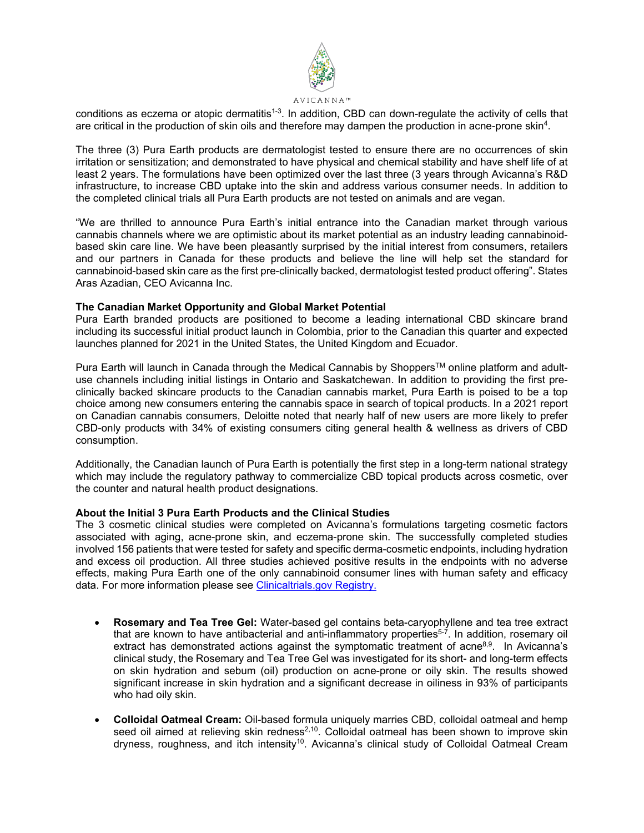

conditions as eczema or atopic dermatitis<sup>1-3</sup>. In addition, CBD can down-regulate the activity of cells that are critical in the production of skin oils and therefore may dampen the production in acne-prone skin4.

The three (3) Pura Earth products are dermatologist tested to ensure there are no occurrences of skin irritation or sensitization; and demonstrated to have physical and chemical stability and have shelf life of at least 2 years. The formulations have been optimized over the last three (3 years through Avicanna's R&D infrastructure, to increase CBD uptake into the skin and address various consumer needs. In addition to the completed clinical trials all Pura Earth products are not tested on animals and are vegan.

"We are thrilled to announce Pura Earth's initial entrance into the Canadian market through various cannabis channels where we are optimistic about its market potential as an industry leading cannabinoidbased skin care line. We have been pleasantly surprised by the initial interest from consumers, retailers and our partners in Canada for these products and believe the line will help set the standard for cannabinoid-based skin care as the first pre-clinically backed, dermatologist tested product offering". States Aras Azadian, CEO Avicanna Inc.

### **The Canadian Market Opportunity and Global Market Potential**

Pura Earth branded products are positioned to become a leading international CBD skincare brand including its successful initial product launch in Colombia, prior to the Canadian this quarter and expected launches planned for 2021 in the United States, the United Kingdom and Ecuador.

Pura Earth will launch in Canada through the Medical Cannabis by Shoppers™ online platform and adultuse channels including initial listings in Ontario and Saskatchewan. In addition to providing the first preclinically backed skincare products to the Canadian cannabis market, Pura Earth is poised to be a top choice among new consumers entering the cannabis space in search of topical products. In a 2021 report on Canadian cannabis consumers, Deloitte noted that nearly half of new users are more likely to prefer CBD-only products with 34% of existing consumers citing general health & wellness as drivers of CBD consumption.

Additionally, the Canadian launch of Pura Earth is potentially the first step in a long-term national strategy which may include the regulatory pathway to commercialize CBD topical products across cosmetic, over the counter and natural health product designations.

### **About the Initial 3 Pura Earth Products and the Clinical Studies**

The 3 cosmetic clinical studies were completed on Avicanna's formulations targeting cosmetic factors associated with aging, acne-prone skin, and eczema-prone skin. The successfully completed studies involved 156 patients that were tested for safety and specific derma-cosmetic endpoints, including hydration and excess oil production. All three studies achieved positive results in the endpoints with no adverse effects, making Pura Earth one of the only cannabinoid consumer lines with human safety and efficacy data. For more information please see [Clinicaltrials.gov Registry.](https://www.clinicaltrials.gov/ct2/results?cond=&term=avicanna+and+cosmetic&cntry=&state=&city=&dist=&Search=Search)

- **Rosemary and Tea Tree Gel:** Water-based gel contains beta-caryophyllene and tea tree extract that are known to have antibacterial and anti-inflammatory properties<sup>5-7</sup>. In addition, rosemary oil extract has demonstrated actions against the symptomatic treatment of acne<sup>8,9</sup>. In Avicanna's clinical study, the Rosemary and Tea Tree Gel was investigated for its short- and long-term effects on skin hydration and sebum (oil) production on acne-prone or oily skin. The results showed significant increase in skin hydration and a significant decrease in oiliness in 93% of participants who had oily skin.
- **Colloidal Oatmeal Cream:** Oil-based formula uniquely marries CBD, colloidal oatmeal and hemp seed oil aimed at relieving skin redness<sup>2,10</sup>. Colloidal oatmeal has been shown to improve skin dryness, roughness, and itch intensity<sup>10</sup>. Avicanna's clinical study of Colloidal Oatmeal Cream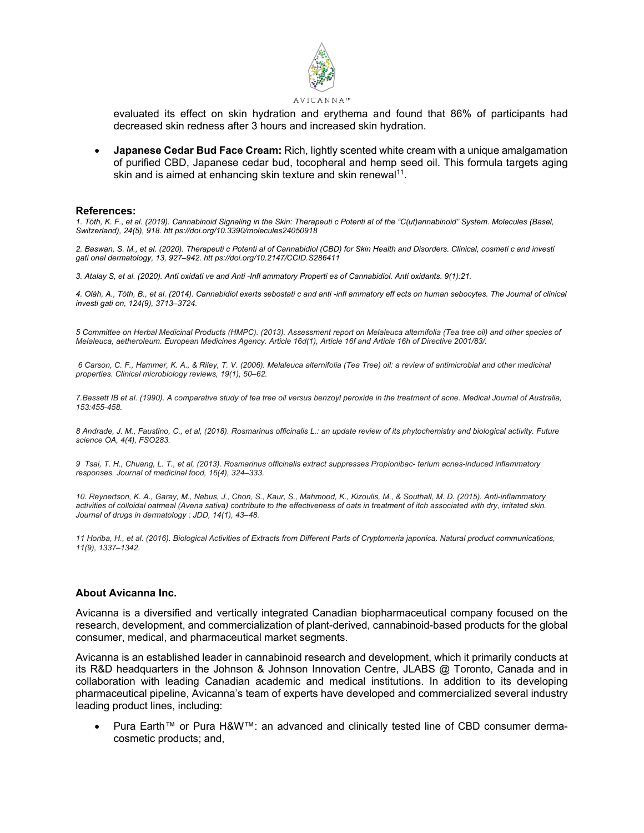

evaluated its effect on skin hydration and erythema and found that 86% of participants had decreased skin redness after 3 hours and increased skin hydration.

• **Japanese Cedar Bud Face Cream:** Rich, lightly scented white cream with a unique amalgamation of purified CBD, Japanese cedar bud, tocopheral and hemp seed oil. This formula targets aging skin and is aimed at enhancing skin texture and skin renewal<sup>11</sup>.

#### **References:**

*1. Tóth, K. F., et al. (2019). Cannabinoid Signaling in the Skin: Therapeuti c Potenti al of the "C(ut)annabinoid" System. Molecules (Basel, Switzerland), 24(5), 918. htt ps://doi.org/10.3390/molecules24050918*

*2. Baswan, S. M., et al. (2020). Therapeuti c Potenti al of Cannabidiol (CBD) for Skin Health and Disorders. Clinical, cosmeti c and investi gati onal dermatology, 13, 927–942. htt ps://doi.org/10.2147/CCID.S286411*

*3. Atalay S, et al. (2020). Anti oxidati ve and Anti -Infl ammatory Properti es of Cannabidiol. Anti oxidants. 9(1):21.* 

*4. Oláh, A., Tóth, B., et al. (2014). Cannabidiol exerts sebostati c and anti -infl ammatory eff ects on human sebocytes. The Journal of clinical investi gati on, 124(9), 3713–3724.*

*5 Committee on Herbal Medicinal Products (HMPC). (2013). Assessment report on Melaleuca alternifolia (Tea tree oil) and other species of Melaleuca, aetheroleum. European Medicines Agency. Article 16d(1), Article 16f and Article 16h of Directive 2001/83/.* 

*6 Carson, C. F., Hammer, K. A., & Riley, T. V. (2006). Melaleuca alternifolia (Tea Tree) oil: a review of antimicrobial and other medicinal properties. Clinical microbiology reviews, 19(1), 50–62.* 

*7.Bassett IB et al. (1990). A comparative study of tea tree oil versus benzoyl peroxide in the treatment of acne. Medical Journal of Australia, 153:455-458.* 

*8 Andrade, J. M., Faustino, C., et al, (2018). Rosmarinus officinalis L.: an update review of its phytochemistry and biological activity. Future science OA, 4(4), FSO283.*

*9 Tsai, T. H., Chuang, L. T., et al, (2013). Rosmarinus officinalis extract suppresses Propionibac- terium acnes-induced inflammatory responses. Journal of medicinal food, 16(4), 324–333.* 

*10. Reynertson, K. A., Garay, M., Nebus, J., Chon, S., Kaur, S., Mahmood, K., Kizoulis, M., & Southall, M. D. (2015). Anti-inflammatory activities of colloidal oatmeal (Avena sativa) contribute to the effectiveness of oats in treatment of itch associated with dry, irritated skin. Journal of drugs in dermatology : JDD, 14(1), 43–48.* 

*11 Horiba, H., et al. (2016). Biological Activities of Extracts from Different Parts of Cryptomeria japonica. Natural product communications, 11(9), 1337–1342.*

### **About Avicanna Inc.**

Avicanna is a diversified and vertically integrated Canadian biopharmaceutical company focused on the research, development, and commercialization of plant-derived, cannabinoid-based products for the global consumer, medical, and pharmaceutical market segments.

Avicanna is an established leader in cannabinoid research and development, which it primarily conducts at its R&D headquarters in the Johnson & Johnson Innovation Centre, JLABS @ Toronto, Canada and in collaboration with leading Canadian academic and medical institutions. In addition to its developing pharmaceutical pipeline, Avicanna's team of experts have developed and commercialized several industry leading product lines, including:

• Pura Earth™ or Pura H&W™: an advanced and clinically tested line of CBD consumer dermacosmetic products; and,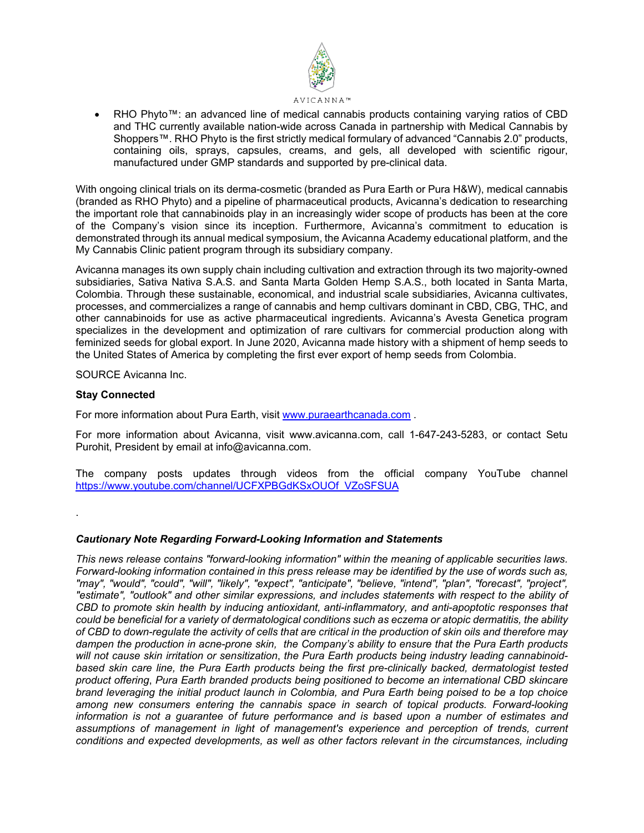

RHO Phyto™: an advanced line of medical cannabis products containing varying ratios of CBD and THC currently available nation-wide across Canada in partnership with Medical Cannabis by Shoppers™. RHO Phyto is the first strictly medical formulary of advanced "Cannabis 2.0" products, containing oils, sprays, capsules, creams, and gels, all developed with scientific rigour, manufactured under GMP standards and supported by pre-clinical data.

With ongoing clinical trials on its derma-cosmetic (branded as Pura Earth or Pura H&W), medical cannabis (branded as RHO Phyto) and a pipeline of pharmaceutical products, Avicanna's dedication to researching the important role that cannabinoids play in an increasingly wider scope of products has been at the core of the Company's vision since its inception. Furthermore, Avicanna's commitment to education is demonstrated through its annual medical symposium, the Avicanna Academy educational platform, and the My Cannabis Clinic patient program through its subsidiary company.

Avicanna manages its own supply chain including cultivation and extraction through its two majority-owned subsidiaries, Sativa Nativa S.A.S. and Santa Marta Golden Hemp S.A.S., both located in Santa Marta, Colombia. Through these sustainable, economical, and industrial scale subsidiaries, Avicanna cultivates, processes, and commercializes a range of cannabis and hemp cultivars dominant in CBD, CBG, THC, and other cannabinoids for use as active pharmaceutical ingredients. Avicanna's Avesta Genetica program specializes in the development and optimization of rare cultivars for commercial production along with feminized seeds for global export. In June 2020, Avicanna made history with a shipment of hemp seeds to the United States of America by completing the first ever export of hemp seeds from Colombia.

SOURCE Avicanna Inc.

## **Stay Connected**

.

For more information about Pura Earth, visi[t www.puraearthcanada.com](http://www.puraearthcanada.com/) .

For more information about Avicanna, visit www.avicanna.com, call 1-647-243-5283, or contact Setu Purohit, President by email at info@avicanna.com.

The company posts updates through videos from the official company YouTube channel [https://www.youtube.com/channel/UCFXPBGdKSxOUOf\\_VZoSFSUA](https://www.youtube.com/channel/UCFXPBGdKSxOUOf_VZoSFSUA)

## *Cautionary Note Regarding Forward-Looking Information and Statements*

*This news release contains "forward-looking information" within the meaning of applicable securities laws. Forward-looking information contained in this press release may be identified by the use of words such as, "may", "would", "could", "will", "likely", "expect", "anticipate", "believe, "intend", "plan", "forecast", "project", "estimate", "outlook" and other similar expressions, and includes statements with respect to the ability of CBD to promote skin health by inducing antioxidant, anti-inflammatory, and anti-apoptotic responses that could be beneficial for a variety of dermatological conditions such as eczema or atopic dermatitis, the ability of CBD to down-regulate the activity of cells that are critical in the production of skin oils and therefore may dampen the production in acne-prone skin, the Company's ability to ensure that the Pura Earth products will not cause skin irritation or sensitization*, *the Pura Earth products being industry leading cannabinoidbased skin care line, the Pura Earth products being the first pre-clinically backed, dermatologist tested product offering*, *Pura Earth branded products being positioned to become an international CBD skincare brand leveraging the initial product launch in Colombia, and Pura Earth being poised to be a top choice among new consumers entering the cannabis space in search of topical products. Forward-looking information is not a guarantee of future performance and is based upon a number of estimates and assumptions of management in light of management's experience and perception of trends, current conditions and expected developments, as well as other factors relevant in the circumstances, including*